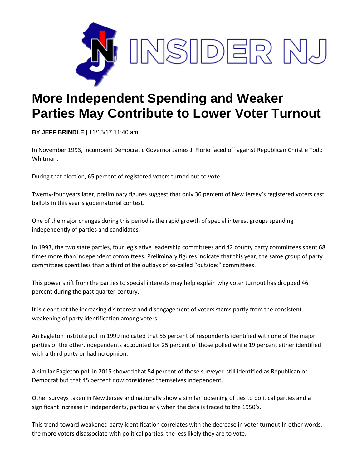

## **More Independent Spending and Weaker Parties May Contribute to Lower Voter Turnout**

**BY JEFF BRINDLE |** 11/15/17 11:40 am

In November 1993, incumbent Democratic Governor James J. Florio faced off against Republican Christie Todd Whitman.

During that election, 65 percent of registered voters turned out to vote.

Twenty-four years later, preliminary figures suggest that only 36 percent of New Jersey's registered voters cast ballots in this year's gubernatorial contest.

One of the major changes during this period is the rapid growth of special interest groups spending independently of parties and candidates.

In 1993, the two state parties, four legislative leadership committees and 42 county party committees spent 68 times more than independent committees. Preliminary figures indicate that this year, the same group of party committees spent less than a third of the outlays of so-called "outside:" committees.

This power shift from the parties to special interests may help explain why voter turnout has dropped 46 percent during the past quarter-century.

It is clear that the increasing disinterest and disengagement of voters stems partly from the consistent weakening of party identification among voters.

An Eagleton Institute poll in 1999 indicated that 55 percent of respondents identified with one of the major parties or the other.Independents accounted for 25 percent of those polled while 19 percent either identified with a third party or had no opinion.

A similar Eagleton poll in 2015 showed that 54 percent of those surveyed still identified as Republican or Democrat but that 45 percent now considered themselves independent.

Other surveys taken in New Jersey and nationally show a similar loosening of ties to political parties and a significant increase in independents, particularly when the data is traced to the 1950's.

This trend toward weakened party identification correlates with the decrease in voter turnout.In other words, the more voters disassociate with political parties, the less likely they are to vote.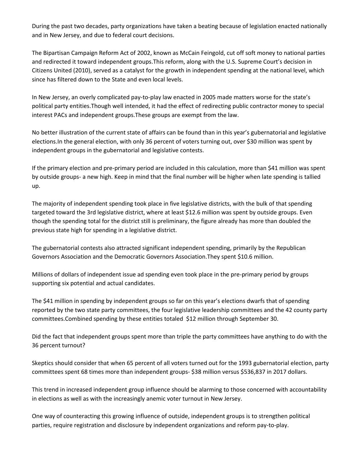During the past two decades, party organizations have taken a beating because of legislation enacted nationally and in New Jersey, and due to federal court decisions.

The Bipartisan Campaign Reform Act of 2002, known as McCain Feingold, cut off soft money to national parties and redirected it toward independent groups.This reform, along with the U.S. Supreme Court's decision in Citizens United (2010), served as a catalyst for the growth in independent spending at the national level, which since has filtered down to the State and even local levels.

In New Jersey, an overly complicated pay-to-play law enacted in 2005 made matters worse for the state's political party entities.Though well intended, it had the effect of redirecting public contractor money to special interest PACs and independent groups.These groups are exempt from the law.

No better illustration of the current state of affairs can be found than in this year's gubernatorial and legislative elections.In the general election, with only 36 percent of voters turning out, over \$30 million was spent by independent groups in the gubernatorial and legislative contests.

If the primary election and pre-primary period are included in this calculation, more than \$41 million was spent by outside groups- a new high. Keep in mind that the final number will be higher when late spending is tallied up.

The majority of independent spending took place in five legislative districts, with the bulk of that spending targeted toward the 3rd legislative district, where at least \$12.6 million was spent by outside groups. Even though the spending total for the district still is preliminary, the figure already has more than doubled the previous state high for spending in a legislative district.

The gubernatorial contests also attracted significant independent spending, primarily by the Republican Governors Association and the Democratic Governors Association.They spent \$10.6 million.

Millions of dollars of independent issue ad spending even took place in the pre-primary period by groups supporting six potential and actual candidates.

The \$41 million in spending by independent groups so far on this year's elections dwarfs that of spending reported by the two state party committees, the four legislative leadership committees and the 42 county party committees.Combined spending by these entities totaled \$12 million through September 30.

Did the fact that independent groups spent more than triple the party committees have anything to do with the 36 percent turnout?

Skeptics should consider that when 65 percent of all voters turned out for the 1993 gubernatorial election, party committees spent 68 times more than independent groups- \$38 million versus \$536,837 in 2017 dollars.

This trend in increased independent group influence should be alarming to those concerned with accountability in elections as well as with the increasingly anemic voter turnout in New Jersey.

One way of counteracting this growing influence of outside, independent groups is to strengthen political parties, require registration and disclosure by independent organizations and reform pay-to-play.